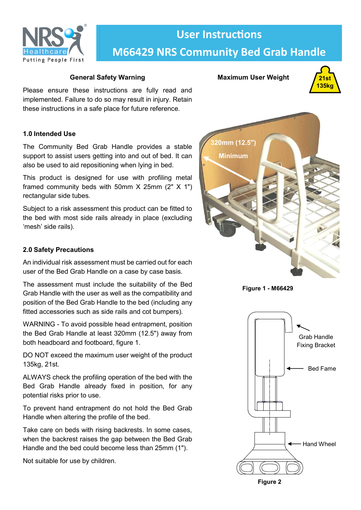

# **User Instructions M66429 NRS Community Bed Grab Handle**

# **General Safety Warning**

Please ensure these instructions are fully read and implemented. Failure to do so may result in injury. Retain these instructions in a safe place for future reference.

# **1.0 Intended Use**

The Community Bed Grab Handle provides a stable support to assist users getting into and out of bed. It can also be used to aid repositioning when lying in bed.

This product is designed for use with profiling metal framed community beds with 50mm  $X$  25mm (2"  $X$  1") rectangular side tubes.

Subject to a risk assessment this product can be fitted to the bed with most side rails already in place (excluding 'mesh' side rails).

# **2.0 Safety Precautions**

An individual risk assessment must be carried out for each user of the Bed Grab Handle on a case by case basis.

The assessment must include the suitability of the Bed Grab Handle with the user as well as the compatibility and position of the Bed Grab Handle to the bed (including any fitted accessories such as side rails and cot bumpers).

WARNING - To avoid possible head entrapment, position the Bed Grab Handle at least 320mm (12.5") away from both headboard and footboard, figure 1.

DO NOT exceed the maximum user weight of the product 135kg, 21st.

ALWAYS check the profiling operation of the bed with the Bed Grab Handle already fixed in position, for any potential risks prior to use.

To prevent hand entrapment do not hold the Bed Grab Handle when altering the profile of the bed.

Take care on beds with rising backrests. In some cases, when the backrest raises the gap between the Bed Grab Handle and the bed could become less than 25mm (1").

Not suitable for use by children.

# **Maximum User Weight**





**Figure 1 - M66429**



**Figure 2**